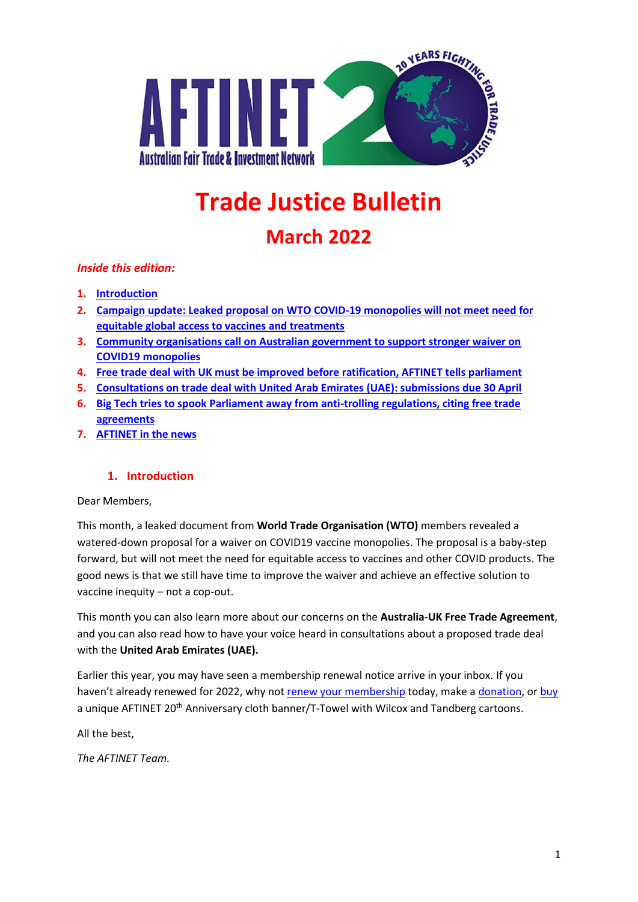

# **Trade Justice Bulletin**

# **March 2022**

#### *Inside this edition:*

- **1. [Introduction](#page-0-0)**
- **2. [Campaign update: Leaked proposal on WTO COVID-19 monopolies will not meet need for](#page-1-0)  [equitable global access to vaccines and treatments](#page-1-0)**
- **3. [Community organisations call on Australian government to support stronger waiver on](#page-1-1)  [COVID19 monopolies](#page-1-1)**
- **4. [Free trade deal with UK must be improved before ratification, AFTINET tells parliament](#page-1-2)**
- **5. [Consultations on trade deal with United Arab Emirates \(UAE\): submissions due 30 April](#page-2-0)**
- **6. [Big Tech tries to spook Parliament away from anti-trolling regulations, citing free trade](#page-2-1)  [agreements](#page-2-1)**
- **7. [AFTINET in the news](#page-2-2)**

#### **1. Introduction**

<span id="page-0-0"></span>Dear Members,

This month, a leaked document from **World Trade Organisation (WTO)** members revealed a watered-down proposal for a waiver on COVID19 vaccine monopolies. The proposal is a baby-step forward, but will not meet the need for equitable access to vaccines and other COVID products. The good news is that we still have time to improve the waiver and achieve an effective solution to vaccine inequity – not a cop-out.

This month you can also learn more about our concerns on the **Australia-UK Free Trade Agreement**, and you can also read how to have your voice heard in consultations about a proposed trade deal with the **United Arab Emirates (UAE).**

Earlier this year, you may have seen a membership renewal notice arrive in your inbox. If you haven't already renewed for 2022, why not [renew your membership](http://aftinet.org.au/cms/aftinet-membership) today, make a [donation,](http://aftinet.org.au/cms/donate) or [buy](http://aftinet.org.au/cms/node/1889) a unique AFTINET 20<sup>th</sup> Anniversary cloth banner/T-Towel with Wilcox and Tandberg cartoons.

All the best,

*The AFTINET Team.*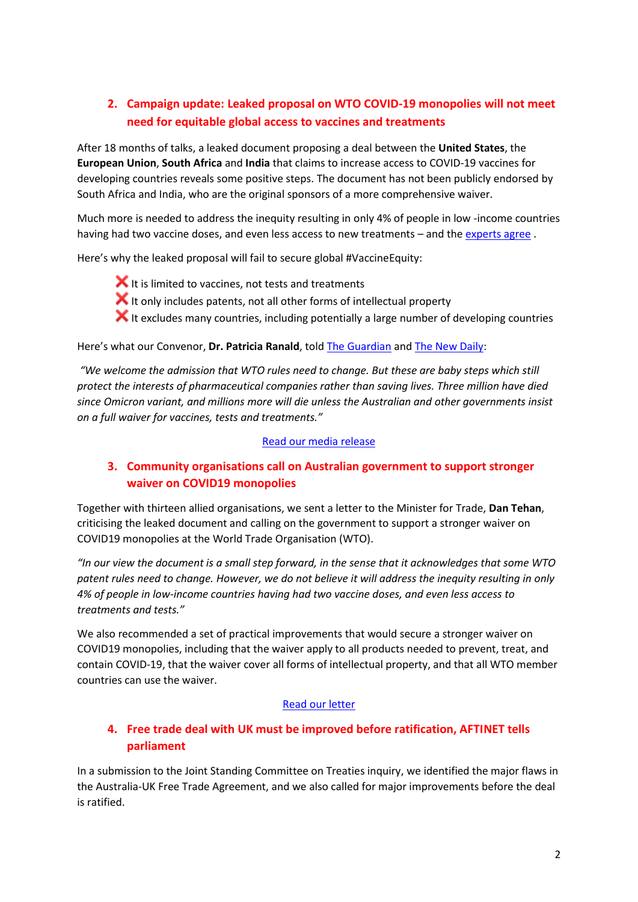# <span id="page-1-0"></span>**2. Campaign update: Leaked proposal on WTO COVID-19 monopolies will not meet need for equitable global access to vaccines and treatments**

After 18 months of talks, a leaked document proposing a deal between the **United States**, the **European Union**, **South Africa** and **India** that claims to increase access to COVID-19 vaccines for developing countries reveals some positive steps. The document has not been publicly endorsed by South Africa and India, who are the original sponsors of a more comprehensive waiver.

Much more is needed to address the inequity resulting in only 4% of people in low -income countries having had two vaccine doses, and even less access to new treatments – and th[e experts agree](http://aftinet.org.au/cms/experts-say-that-deeply-flawed-document-on-covid19-patents-will-not-achieve-global-vaccine-equity).

Here's why the leaked proposal will fail to secure global #VaccineEquity:

 $\blacktriangleright$  It is limited to vaccines, not tests and treatments  $\blacktriangleright$  It only includes patents, not all other forms of intellectual property  $\blacktriangleright$  It excludes many countries, including potentially a large number of developing countries

Here's what our Convenor, **Dr. Patricia Ranald**, told [The Guardian](https://www.theguardian.com/society/2022/mar/16/global-powers-inch-closer-to-agreement-to-waive-covid-vaccine-patents) and [The New Daily:](https://thenewdaily.com.au/finance/finance-news/2022/03/17/vaccine-australia-wto/?fbclid=IwAR23LNXbtKUPIL1nslTp7xMYND_Buyjtjc9Si89wNrlgzZoBersrc_nBVFE)

*"We welcome the admission that WTO rules need to change. But these are baby steps which still protect the interests of pharmaceutical companies rather than saving lives. Three million have died since Omicron variant, and millions more will die unless the Australian and other governments insist on a full waiver for vaccines, tests and treatments."*

#### [Read our media release](http://aftinet.org.au/cms/leaked-proposal-on-WTO-COVID-19-monopolies-a-small-step-but-more-needed-for-equitable-access)

## <span id="page-1-1"></span>**3. Community organisations call on Australian government to support stronger waiver on COVID19 monopolies**

Together with thirteen allied organisations, we sent a letter to the Minister for Trade, **Dan Tehan**, criticising the leaked document and calling on the government to support a stronger waiver on COVID19 monopolies at the World Trade Organisation (WTO).

*"In our view the document is a small step forward, in the sense that it acknowledges that some WTO patent rules need to change. However, we do not believe it will address the inequity resulting in only 4% of people in low-income countries having had two vaccine doses, and even less access to treatments and tests."*

We also recommended a set of practical improvements that would secure a stronger waiver on COVID19 monopolies, including that the waiver apply to all products needed to prevent, treat, and contain COVID-19, that the waiver cover all forms of intellectual property, and that all WTO member countries can use the waiver.

#### [Read our letter](http://aftinet.org.au/cms/community-organisations-call-on-australian-government-to-support-stronger-waiver-on-COVID19-monopolies)

# <span id="page-1-2"></span>**4. Free trade deal with UK must be improved before ratification, AFTINET tells parliament**

In a submission to the Joint Standing Committee on Treaties inquiry, we identified the major flaws in the Australia-UK Free Trade Agreement, and we also called for major improvements before the deal is ratified.